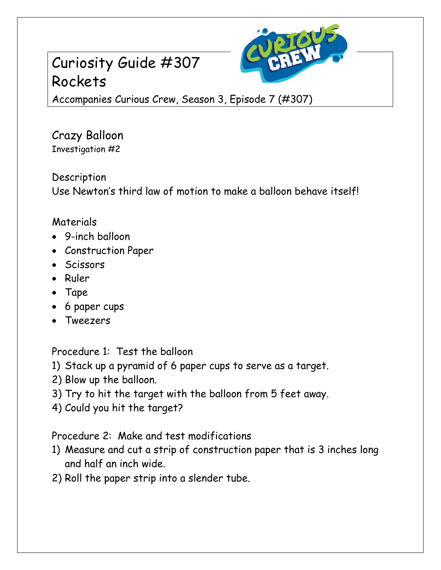## Curiosity Guide #307 Rockets



Accompanies Curious Crew, Season 3, Episode 7 (#307)

Crazy Balloon Investigation #2

Description

Use Newton's third law of motion to make a balloon behave itself!

## Materials

- 9-inch balloon
- Construction Paper
- Scissors
- Ruler
- Tape
- 6 paper cups
- Tweezers

Procedure 1: Test the balloon

- 1) Stack up a pyramid of 6 paper cups to serve as a target.
- 2) Blow up the balloon.
- 3) Try to hit the target with the balloon from 5 feet away.
- 4) Could you hit the target?

Procedure 2: Make and test modifications

- 1) Measure and cut a strip of construction paper that is 3 inches long and half an inch wide.
- 2) Roll the paper strip into a slender tube.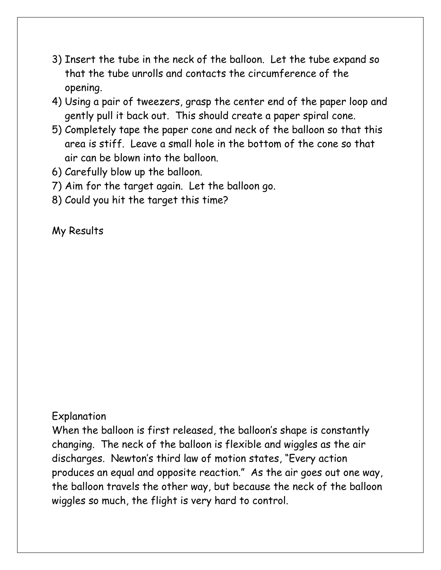- 3) Insert the tube in the neck of the balloon. Let the tube expand so that the tube unrolls and contacts the circumference of the opening.
- 4) Using a pair of tweezers, grasp the center end of the paper loop and gently pull it back out. This should create a paper spiral cone.
- 5) Completely tape the paper cone and neck of the balloon so that this area is stiff. Leave a small hole in the bottom of the cone so that air can be blown into the balloon.
- 6) Carefully blow up the balloon.
- 7) Aim for the target again. Let the balloon go.
- 8) Could you hit the target this time?

## My Results

## Explanation

When the balloon is first released, the balloon's shape is constantly changing. The neck of the balloon is flexible and wiggles as the air discharges. Newton's third law of motion states, "Every action produces an equal and opposite reaction." As the air goes out one way, the balloon travels the other way, but because the neck of the balloon wiggles so much, the flight is very hard to control.